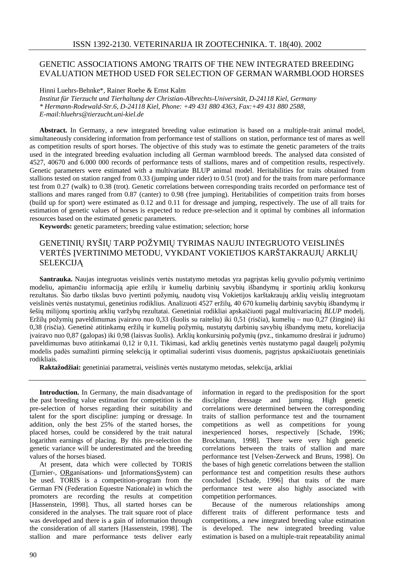# GENETIC ASSOCIATIONS AMONG TRAITS OF THE NEW INTEGRATED BREEDING EVALUATION METHOD USED FOR SELECTION OF GERMAN WARMBLOOD HORSES

Hinni Luehrs-Behnke\*, Rainer Roehe & Ernst Kalm

*Institut für Tierzucht und Tierhaltung der Christian-Albrechts-Universität, D-24118 Kiel, Germany \* Hermann-Rodewald-Str.6, D-24118 Kiel, Phone: +49 431 880 4363, Fax:+49 431 880 2588, E-mail:hluehrs@tierzucht.uni-kiel.de*

**Abstract.** In Germany, a new integrated breeding value estimation is based on a multiple-trait animal model, simultaneously considering information from performance test of stallions on station, performance test of mares as well as competition results of sport horses. The objective of this study was to estimate the genetic parameters of the traits used in the integrated breeding evaluation including all German warmblood breeds. The analysed data consisted of 4527, 40670 and 6.000 000 records of performance tests of stallions, mares and of competition results, respectively. Genetic parameters were estimated with a multivariate BLUP animal model. Heritabilities for traits obtained from stallions tested on station ranged from 0.33 (jumping under rider) to 0.51 (trot) and for the traits from mare performance test from 0.27 (walk) to 0.38 (trot). Genetic correlations between corresponding traits recorded on performance test of stallions and mares ranged from 0.87 (canter) to 0.98 (free jumping). Heritabilities of competition traits from horses (build up for sport) were estimated as 0.12 and 0.11 for dressage and jumping, respectively. The use of all traits for estimation of genetic values of horses is expected to reduce pre-selection and it optimal by combines all information resources based on the estimated genetic parameters.

**Keywords:** genetic parameters; breeding value estimation; selection; horse

# GENETINIŲ RYŠIŲ TARP POŽYMIŲ TYRIMAS NAUJU INTEGRUOTO VEISLINĖS VERTĖS ĮVERTINIMO METODU, VYKDANT VOKIETIJOS KARŠTAKRAUJŲ ARKLIŲ **SELEKCIJĄ**

**Santrauka.** Naujas integruotas veislinės vertės nustatymo metodas yra pagrįstas kelių gyvulio požymių vertinimo modeliu, apimančiu informaciją apie eržilų ir kumelių darbinių savybių išbandymų ir sportinių arklių konkursų rezultatus. Šio darbo tikslas buvo įvertinti požymių, naudotų visų Vokietijos karštakraujų arklių veislių integruotam veislinės vertės nustatymui, genetinius rodiklius. Analizuoti 4527 eržilų, 40 670 kumelių darbinių savybių išbandymų ir šešių milijonų sportinių arklių varžybų rezultatai. Genetiniai rodikliai apskaičiuoti pagal multivariacinį *BLUP* modelį. Eržilų požymių paveldimumas įvairavo nuo 0,33 (šuolis su raiteliu) iki 0,51 (risčia), kumelių – nuo 0,27 (žinginė) iki 0,38 (risčia). Genetinė atitinkamų eržilų ir kumelių požymių, nustatytų darbinių savybių išbandymų metu, koreliacija įvairavo nuo 0,87 (galopas) iki 0,98 (laisvas šuolis). Arklių konkursinių požymių (pvz., tinkamumo dresūrai ir judrumo) paveldimumas buvo atitinkamai 0,12 ir 0,11. Tikimasi, kad arklių genetinės vertės nustatymo pagal daugelį požymių modelis padės sumažinti pirminę selekciją ir optimaliai suderinti visus duomenis, pagrįstus apskaičiuotais genetiniais rodikliais.

**Raktažodžiai:** genetiniai parametrai, veislinės vertės nustatymo metodas, selekcija, arkliai

**Introduction.** In Germany, the main disadvantage of the past breeding value estimation for competition is the pre-selection of horses regarding their suitability and talent for the sport discipline: jumping or dressage. In addition, only the best 25% of the started horses, the placed horses, could be considered by the trait natural logarithm earnings of placing. By this pre-selection the genetic variance will be underestimated and the breeding values of the horses biased.

At present, data which were collected by TORIS (Turnier-, ORganisations- und InformationsSystem) can be used. TORIS is a competition-program from the German FN (Federation Equestre Nationale) in which the promoters are recording the results at competition [Hassenstein, 1998]. Thus, all started horses can be considered in the analyses. The trait square root of place was developed and there is a gain of information through the consideration of all starters [Hassenstein, 1998]. The stallion and mare performance tests deliver early

information in regard to the predisposition for the sport discipline dressage and jumping. High genetic correlations were determined between the corresponding traits of stallion performance test and the tournament competitions as well as competitions for young inexperienced horses, respectively [Schade, 1996; Brockmann, 1998]. There were very high genetic correlations between the traits of stallion and mare performance test [Velsen-Zerweck and Bruns, 1998]. On the bases of high genetic correlations between the stallion performance test and competition results these authors concluded [Schade, 1996] that traits of the mare performance test were also highly associated with competition performances.

Because of the numerous relationships among different traits of different performance tests and competitions, a new integrated breeding value estimation is developed. The new integrated breeding value estimation is based on a multiple-trait repeatability animal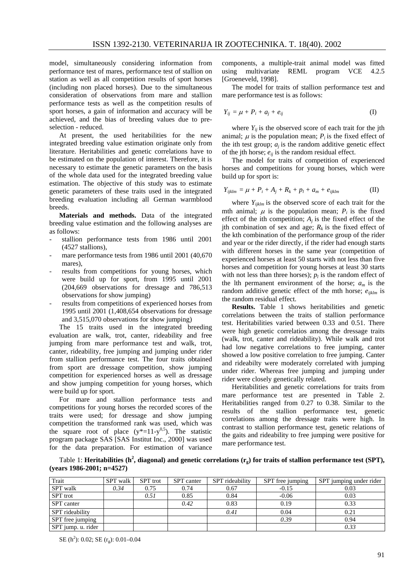model, simultaneously considering information from performance test of mares, performance test of stallion on station as well as all competition results of sport horses (including non placed horses). Due to the simultaneous consideration of observations from mare and stallion performance tests as well as the competition results of sport horses, a gain of information and accuracy will be achieved, and the bias of breeding values due to preselection - reduced.

At present, the used heritabilities for the new integrated breeding value estimation originate only from literature. Heritabilities and genetic correlations have to be estimated on the population of interest. Therefore, it is necessary to estimate the genetic parameters on the basis of the whole data used for the integrated breeding value estimation. The objective of this study was to estimate genetic parameters of these traits used in the integrated breeding evaluation including all German warmblood breeds.

**Materials and methods.** Data of the integrated breeding value estimation and the following analyses are as follows:

- stallion performance tests from 1986 until 2001 (4527 stallions),
- mare performance tests from 1986 until 2001 (40,670) mares),
- results from competitions for young horses, which were build up for sport, from 1995 until 2001 (204,669 observations for dressage and 786,513 observations for show jumping)
- results from competitions of experienced horses from 1995 until 2001 (1,408,654 observations for dressage and 3,515,070 observations for show jumping)

The 15 traits used in the integrated breeding evaluation are walk, trot, canter, rideability and free jumping from mare performance test and walk, trot, canter, rideability, free jumping and jumping under rider from stallion performance test. The four traits obtained from sport are dressage competition, show jumping competition for experienced horses as well as dressage and show jumping competition for young horses, which were build up for sport.

For mare and stallion performance tests and competitions for young horses the recorded scores of the traits were used; for dressage and show jumping competition the transformed rank was used, which was the square root of place  $(y^*=11-y^{0.5})$ . The statistic program package SAS [SAS Institut Inc., 2000] was used for the data preparation. For estimation of variance

components, a multiple-trait animal model was fitted using multivariate REML program VCE 4.2.5 [Groeneveld, 1998].

The model for traits of stallion performance test and mare performance test is as follows:

$$
Y_{ij} = \mu + P_i + a_j + e_{ij} \tag{I}
$$

where  $Y_{ij}$  is the observed score of each trait for the jth animal;  $\mu$  is the population mean;  $P_i$  is the fixed effect of the ith test group;  $a_j$  is the random additive genetic effect of the jth horse;  $e_{ij}$  is the random residual effect.

The model for traits of competition of experienced horses and competitions for young horses, which were build up for sport is:

$$
Y_{ijklm} = \mu + P_i + A_j + R_k + p_l + a_m + e_{ijklm}
$$
 (II)

where  $Y_{iiklm}$  is the observed score of each trait for the mth animal;  $\mu$  is the population mean;  $P_i$  is the fixed effect of the ith competition;  $A_j$  is the fixed effect of the ith combination of sex and age;  $R_k$  is the fixed effect of the kth combination of the performance group of the rider and year or the rider directly, if the rider had enough starts with different horses in the same year (competition of experienced horses at least 50 starts with not less than five horses and competition for young horses at least 30 starts with not less than three horses);  $p_l$  is the random effect of the lth permanent environment of the horse;  $a_m$  is the random additive genetic effect of the mth horse;  $e_{iiklm}$  is the random residual effect.

**Results.** Table 1 shows heritabilities and genetic correlations between the traits of stallion performance test. Heritabilities varied between 0.33 and 0.51. There were high genetic correlatios among the dressage traits (walk, trot, canter and rideability). While walk and trot had low negative correlations to free jumping, canter showed a low positive correlation to free jumping. Canter and rideabilty were moderately correlated with jumping under rider. Whereas free jumping and jumping under rider were closely genetically related.

Heritabilities and genetic correlations for traits from mare performance test are presented in Table 2. Heritabilities ranged from 0.27 to 0.38. Similar to the results of the stallion performance test, genetic correlations among the dressage traits were high. In contrast to stallion performance test, genetic relations of the gaits and rideability to free jumping were positive for mare performance test.

Table 1: Heritabilities (h<sup>2</sup>, diagonal) and genetic correlations (r<sub>g</sub>) for traits of stallion performance test (SPT), **(years 1986-2001; n=4527)**

| Trait              | <b>SPT</b> walk | <b>SPT</b> trot | <b>SPT</b> canter | SPT rideability | SPT free jumping | SPT jumping under rider |
|--------------------|-----------------|-----------------|-------------------|-----------------|------------------|-------------------------|
| <b>SPT</b> walk    | 0.34            | 0.75            | 0.74              | 0.67            | $-0.15$          | 0.03                    |
| <b>SPT</b> trot    |                 | 0.51            | 0.85              | 0.84            | $-0.06$          | 0.03                    |
| SPT canter         |                 |                 | 0.42              | 0.83            | 0.19             | 0.33                    |
| SPT rideability    |                 |                 |                   | 0.41            | 0.04             | 0.21                    |
| SPT free jumping   |                 |                 |                   |                 | 0.39             | 0.94                    |
| SPT jump. u. rider |                 |                 |                   |                 |                  | 0.33                    |

SE (h<sup>2</sup>): 0.02; SE (r<sub>g</sub>): 0.01–0.04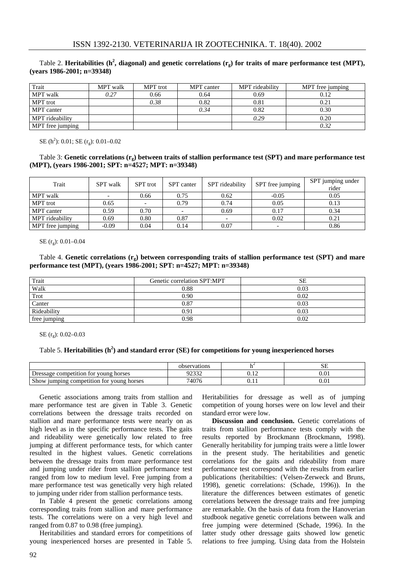#### Table 2. Heritabilities (h<sup>2</sup>, diagonal) and genetic correlations (r<sub>g</sub>) for traits of mare performance test (MPT), **(years 1986-2001; n=39348)**

| Trait            | <b>MPT</b> walk | MPT trot | <b>MPT</b> canter | MPT rideability | MPT free jumping |
|------------------|-----------------|----------|-------------------|-----------------|------------------|
| MPT walk         | 0.27            | 0.66     | 0.64              | 0.69            | 0.12             |
| MPT trot         |                 | 0.38     | 0.82              | 0.81            | 0.21             |
| MPT canter       |                 |          | 0.34              | 0.82            | 0.30             |
| MPT rideability  |                 |          |                   | 0.29            | 0.20             |
| MPT free jumping |                 |          |                   |                 | 0.32             |

SE (h<sup>2</sup>): 0.01; SE (r<sub>g</sub>): 0.01–0.02

### Table 3: **Genetic correlations (rg) between traits of stallion performance test (SPT) and mare performance test (MPT), (years 1986-2001; SPT: n=4527; MPT: n=39348)**

| Trait            | <b>SPT</b> walk | <b>SPT</b> trot | SPT canter | SPT rideability | SPT free jumping | SPT jumping under<br>rider |
|------------------|-----------------|-----------------|------------|-----------------|------------------|----------------------------|
| MPT walk         |                 | 0.66            | 0.75       | 0.62            | $-0.05$          | 0.05                       |
| MPT trot         | 0.65            |                 | 0.79       | 0.74            | 0.05             | 0.13                       |
| MPT canter       | 0.59            | 0.70            |            | 0.69            | 0.17             | 0.34                       |
| MPT rideability  | 0.69            | 0.80            | 0.87       |                 | 0.02             | 0.21                       |
| MPT free jumping | $-0.09$         | 0.04            | 0.14       | 0.07            |                  | 0.86                       |

SE (r<sub>9</sub>): 0.01-0.04

Table 4. **Genetic correlations (rg) between corresponding traits of stallion performance test (SPT) and mare performance test (MPT), (years 1986-2001; SPT: n=4527; MPT: n=39348)**

| Trait        | Genetic correlation SPT:MPT | <b>SE</b> |
|--------------|-----------------------------|-----------|
| Walk         | 0.88                        | 0.03      |
| Trot         | 0.90                        | 0.02      |
| Canter       | 0.87                        | 0.03      |
| Rideability  | 0.91                        | 0.03      |
| free jumping | 0.98                        | 0.02      |

SE (r<sub>g</sub>): 0.02–0.03

### Table 5. **Heritabilities (h 2 ) and standard error (SE) for competitions for young inexperienced horses**

|                                                                | observations    |       | نتدف       |
|----------------------------------------------------------------|-----------------|-------|------------|
| horses <sup>.</sup><br>Dressage competition for young          | naaaa<br>ے رے ر | 9.14  | $\rm 0.01$ |
| $\sim$<br>tor young.<br>. Show<br>umping competition<br>horses | 74076           | v. 11 | 0.01       |

Genetic associations among traits from stallion and mare performance test are given in Table 3. Genetic correlations between the dressage traits recorded on stallion and mare performance tests were nearly on as high level as in the specific performance tests. The gaits and rideability were genetically low related to free jumping at different performance tests, for which canter resulted in the highest values. Genetic correlations between the dressage traits from mare performance test and jumping under rider from stallion performance test ranged from low to medium level. Free jumping from a mare performance test was genetically very high related to jumping under rider from stallion performance tests.

In Table 4 present the genetic correlations among corresponding traits from stallion and mare performance tests. The correlations were on a very high level and ranged from 0.87 to 0.98 (free jumping).

Heritabilities and standard errors for competitions of young inexperienced horses are presented in Table 5.

Heritabilities for dressage as well as of jumping competition of young horses were on low level and their standard error were low.

**Discussion and conclusion.** Genetic correlations of traits from stallion performance tests comply with the results reported by Brockmann (Brockmann, 1998). Generally heritability for jumping traits were a little lower in the present study. The heritabilities and genetic correlations for the gaits and rideability from mare performance test correspond with the results from earlier publications (heritabilties: (Velsen-Zerweck and Bruns, 1998), genetic correlations: (Schade, 1996)). In the literature the differences between estimates of genetic correlations between the dressage traits and free jumping are remarkable. On the basis of data from the Hanoverian studbook negative genetic correlations between walk and free jumping were determined (Schade, 1996). In the latter study other dressage gaits showed low genetic relations to free jumping. Using data from the Holstein